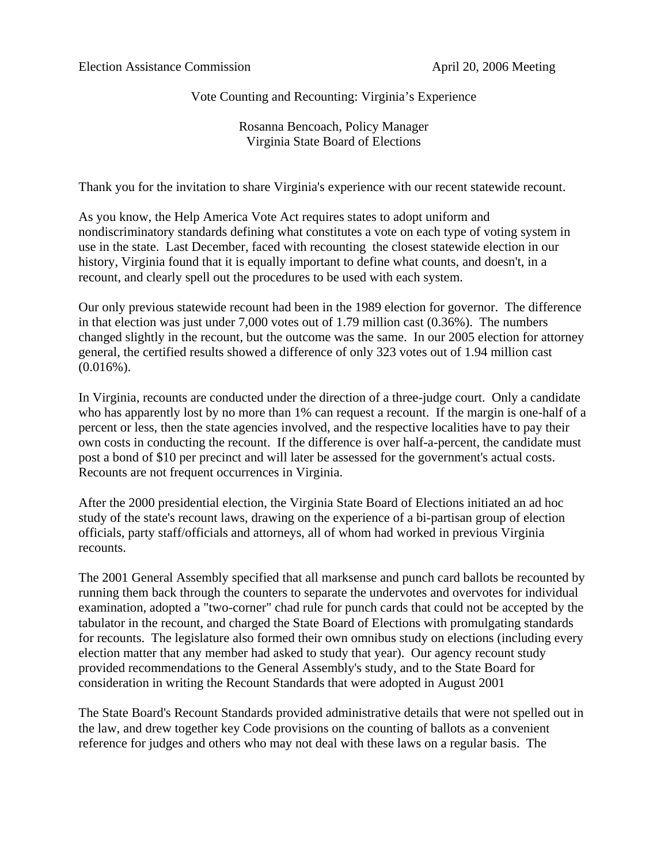Vote Counting and Recounting: Virginia's Experience

Rosanna Bencoach, Policy Manager Virginia State Board of Elections

Thank you for the invitation to share Virginia's experience with our recent statewide recount.

As you know, the Help America Vote Act requires states to adopt uniform and nondiscriminatory standards defining what constitutes a vote on each type of voting system in use in the state. Last December, faced with recounting the closest statewide election in our history, Virginia found that it is equally important to define what counts, and doesn't, in a recount, and clearly spell out the procedures to be used with each system.

Our only previous statewide recount had been in the 1989 election for governor. The difference in that election was just under 7,000 votes out of 1.79 million cast (0.36%). The numbers changed slightly in the recount, but the outcome was the same. In our 2005 election for attorney general, the certified results showed a difference of only 323 votes out of 1.94 million cast  $(0.016\%)$ .

In Virginia, recounts are conducted under the direction of a three-judge court. Only a candidate who has apparently lost by no more than 1% can request a recount. If the margin is one-half of a percent or less, then the state agencies involved, and the respective localities have to pay their own costs in conducting the recount. If the difference is over half-a-percent, the candidate must post a bond of \$10 per precinct and will later be assessed for the government's actual costs. Recounts are not frequent occurrences in Virginia.

After the 2000 presidential election, the Virginia State Board of Elections initiated an ad hoc study of the state's recount laws, drawing on the experience of a bi-partisan group of election officials, party staff/officials and attorneys, all of whom had worked in previous Virginia recounts.

The 2001 General Assembly specified that all marksense and punch card ballots be recounted by running them back through the counters to separate the undervotes and overvotes for individual examination, adopted a "two-corner" chad rule for punch cards that could not be accepted by the tabulator in the recount, and charged the State Board of Elections with promulgating standards for recounts. The legislature also formed their own omnibus study on elections (including every election matter that any member had asked to study that year). Our agency recount study provided recommendations to the General Assembly's study, and to the State Board for consideration in writing the Recount Standards that were adopted in August 2001

The State Board's Recount Standards provided administrative details that were not spelled out in the law, and drew together key Code provisions on the counting of ballots as a convenient reference for judges and others who may not deal with these laws on a regular basis. The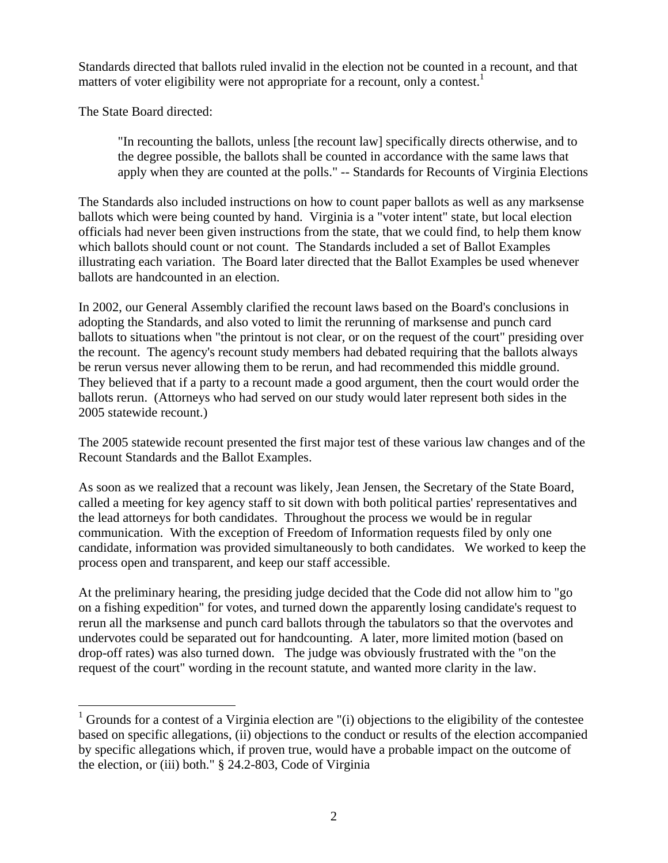Standards directed that ballots ruled invalid in the election not be counted in a recount, and that matters of voter eligibility were not appropriate for a recount, only a contest.<sup>1</sup>

The State Board directed:

 $\overline{a}$ 

"In recounting the ballots, unless [the recount law] specifically directs otherwise, and to the degree possible, the ballots shall be counted in accordance with the same laws that apply when they are counted at the polls." -- Standards for Recounts of Virginia Elections

The Standards also included instructions on how to count paper ballots as well as any marksense ballots which were being counted by hand. Virginia is a "voter intent" state, but local election officials had never been given instructions from the state, that we could find, to help them know which ballots should count or not count. The Standards included a set of Ballot Examples illustrating each variation. The Board later directed that the Ballot Examples be used whenever ballots are handcounted in an election.

In 2002, our General Assembly clarified the recount laws based on the Board's conclusions in adopting the Standards, and also voted to limit the rerunning of marksense and punch card ballots to situations when "the printout is not clear, or on the request of the court" presiding over the recount. The agency's recount study members had debated requiring that the ballots always be rerun versus never allowing them to be rerun, and had recommended this middle ground. They believed that if a party to a recount made a good argument, then the court would order the ballots rerun. (Attorneys who had served on our study would later represent both sides in the 2005 statewide recount.)

The 2005 statewide recount presented the first major test of these various law changes and of the Recount Standards and the Ballot Examples.

As soon as we realized that a recount was likely, Jean Jensen, the Secretary of the State Board, called a meeting for key agency staff to sit down with both political parties' representatives and the lead attorneys for both candidates. Throughout the process we would be in regular communication. With the exception of Freedom of Information requests filed by only one candidate, information was provided simultaneously to both candidates. We worked to keep the process open and transparent, and keep our staff accessible.

At the preliminary hearing, the presiding judge decided that the Code did not allow him to "go on a fishing expedition" for votes, and turned down the apparently losing candidate's request to rerun all the marksense and punch card ballots through the tabulators so that the overvotes and undervotes could be separated out for handcounting. A later, more limited motion (based on drop-off rates) was also turned down. The judge was obviously frustrated with the "on the request of the court" wording in the recount statute, and wanted more clarity in the law.

<span id="page-1-0"></span><sup>&</sup>lt;sup>1</sup> Grounds for a contest of a Virginia election are "(i) objections to the eligibility of the contestee based on specific allegations, (ii) objections to the conduct or results of the election accompanied by specific allegations which, if proven true, would have a probable impact on the outcome of the election, or (iii) both." § 24.2-803, Code of Virginia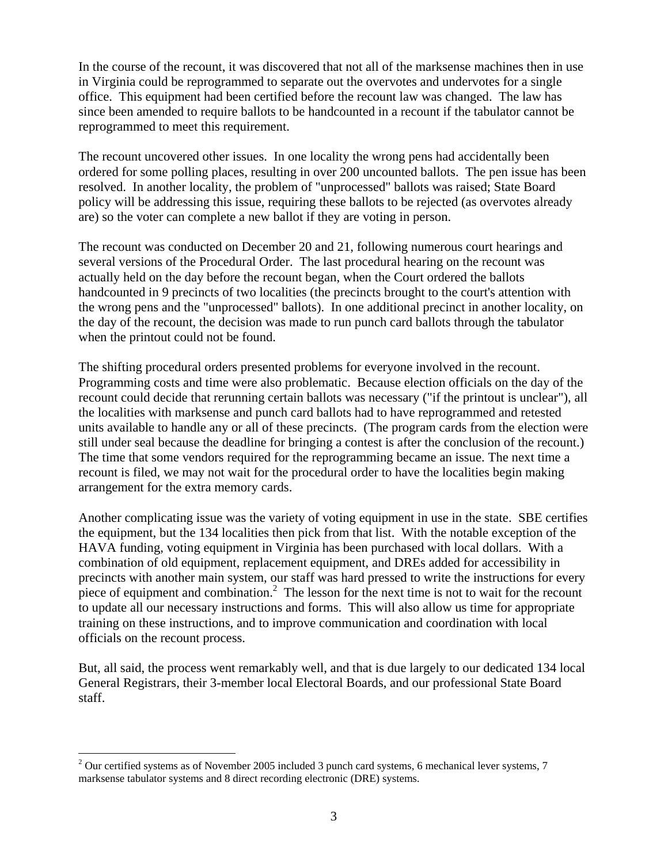In the course of the recount, it was discovered that not all of the marksense machines then in use in Virginia could be reprogrammed to separate out the overvotes and undervotes for a single office. This equipment had been certified before the recount law was changed. The law has since been amended to require ballots to be handcounted in a recount if the tabulator cannot be reprogrammed to meet this requirement.

The recount uncovered other issues. In one locality the wrong pens had accidentally been ordered for some polling places, resulting in over 200 uncounted ballots. The pen issue has been resolved. In another locality, the problem of "unprocessed" ballots was raised; State Board policy will be addressing this issue, requiring these ballots to be rejected (as overvotes already are) so the voter can complete a new ballot if they are voting in person.

The recount was conducted on December 20 and 21, following numerous court hearings and several versions of the Procedural Order. The last procedural hearing on the recount was actually held on the day before the recount began, when the Court ordered the ballots handcounted in 9 precincts of two localities (the precincts brought to the court's attention with the wrong pens and the "unprocessed" ballots). In one additional precinct in another locality, on the day of the recount, the decision was made to run punch card ballots through the tabulator when the printout could not be found.

The shifting procedural orders presented problems for everyone involved in the recount. Programming costs and time were also problematic. Because election officials on the day of the recount could decide that rerunning certain ballots was necessary ("if the printout is unclear"), all the localities with marksense and punch card ballots had to have reprogrammed and retested units available to handle any or all of these precincts. (The program cards from the election were still under seal because the deadline for bringing a contest is after the conclusion of the recount.) The time that some vendors required for the reprogramming became an issue. The next time a recount is filed, we may not wait for the procedural order to have the localities begin making arrangement for the extra memory cards.

Another complicating issue was the variety of voting equipment in use in the state. SBE certifies the equipment, but the 134 localities then pick from that list. With the notable exception of the HAVA funding, voting equipment in Virginia has been purchased with local dollars. With a combination of old equipment, replacement equipment, and DREs added for accessibility in precincts with another main system, our staff was hard pressed to write the instructions for every piece of equipment and combination.<sup>[2](#page-2-0)</sup> The lesson for the next time is not to wait for the recount to update all our necessary instructions and forms. This will also allow us time for appropriate training on these instructions, and to improve communication and coordination with local officials on the recount process.

But, all said, the process went remarkably well, and that is due largely to our dedicated 134 local General Registrars, their 3-member local Electoral Boards, and our professional State Board staff.

1

<span id="page-2-0"></span> $2$  Our certified systems as of November 2005 included 3 punch card systems, 6 mechanical lever systems, 7 marksense tabulator systems and 8 direct recording electronic (DRE) systems.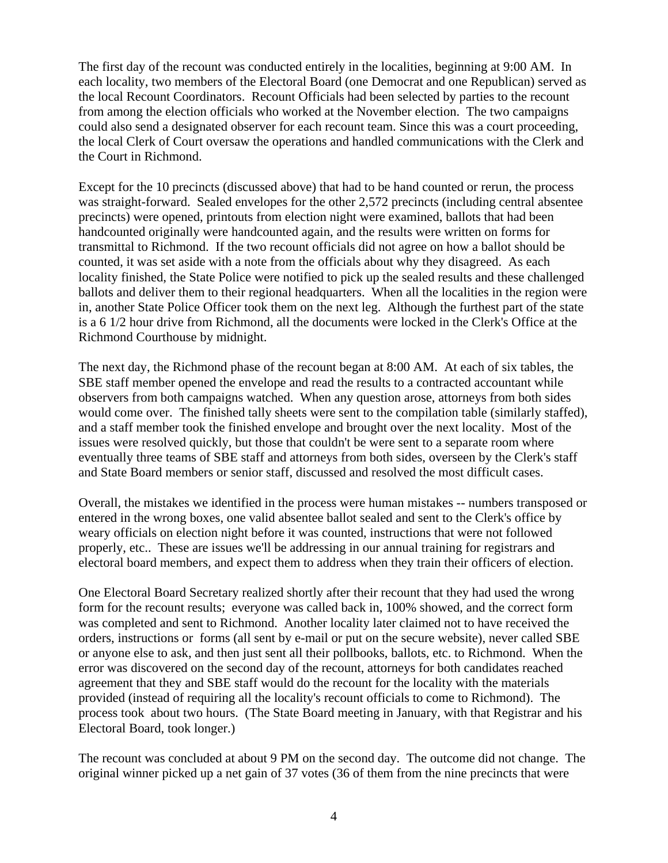The first day of the recount was conducted entirely in the localities, beginning at 9:00 AM. In each locality, two members of the Electoral Board (one Democrat and one Republican) served as the local Recount Coordinators. Recount Officials had been selected by parties to the recount from among the election officials who worked at the November election. The two campaigns could also send a designated observer for each recount team. Since this was a court proceeding, the local Clerk of Court oversaw the operations and handled communications with the Clerk and the Court in Richmond.

Except for the 10 precincts (discussed above) that had to be hand counted or rerun, the process was straight-forward. Sealed envelopes for the other 2,572 precincts (including central absentee precincts) were opened, printouts from election night were examined, ballots that had been handcounted originally were handcounted again, and the results were written on forms for transmittal to Richmond. If the two recount officials did not agree on how a ballot should be counted, it was set aside with a note from the officials about why they disagreed. As each locality finished, the State Police were notified to pick up the sealed results and these challenged ballots and deliver them to their regional headquarters. When all the localities in the region were in, another State Police Officer took them on the next leg. Although the furthest part of the state is a 6 1/2 hour drive from Richmond, all the documents were locked in the Clerk's Office at the Richmond Courthouse by midnight.

The next day, the Richmond phase of the recount began at 8:00 AM. At each of six tables, the SBE staff member opened the envelope and read the results to a contracted accountant while observers from both campaigns watched. When any question arose, attorneys from both sides would come over. The finished tally sheets were sent to the compilation table (similarly staffed), and a staff member took the finished envelope and brought over the next locality. Most of the issues were resolved quickly, but those that couldn't be were sent to a separate room where eventually three teams of SBE staff and attorneys from both sides, overseen by the Clerk's staff and State Board members or senior staff, discussed and resolved the most difficult cases.

Overall, the mistakes we identified in the process were human mistakes -- numbers transposed or entered in the wrong boxes, one valid absentee ballot sealed and sent to the Clerk's office by weary officials on election night before it was counted, instructions that were not followed properly, etc.. These are issues we'll be addressing in our annual training for registrars and electoral board members, and expect them to address when they train their officers of election.

One Electoral Board Secretary realized shortly after their recount that they had used the wrong form for the recount results; everyone was called back in, 100% showed, and the correct form was completed and sent to Richmond. Another locality later claimed not to have received the orders, instructions or forms (all sent by e-mail or put on the secure website), never called SBE or anyone else to ask, and then just sent all their pollbooks, ballots, etc. to Richmond. When the error was discovered on the second day of the recount, attorneys for both candidates reached agreement that they and SBE staff would do the recount for the locality with the materials provided (instead of requiring all the locality's recount officials to come to Richmond). The process took about two hours. (The State Board meeting in January, with that Registrar and his Electoral Board, took longer.)

The recount was concluded at about 9 PM on the second day. The outcome did not change. The original winner picked up a net gain of 37 votes (36 of them from the nine precincts that were